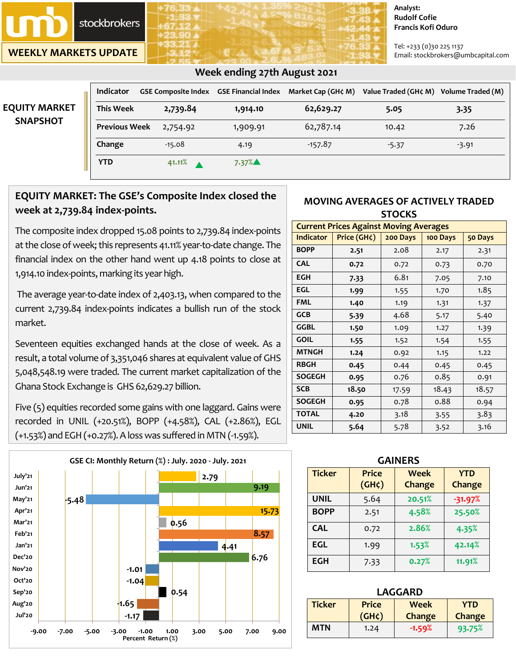**stockbrokers** 

**WEEKLY MARKETS UPDATE**

#### **Analyst: Rudolf Cofie Francis Kofi Oduro**

Tel: +233 (0)30 225 1137 Email: stockbrokers@umbcapital.com

|                      | <b>Indicator</b>     |          | GSE Composite Index  GSE Financial Index | Market Cap (GH¢ M) | Value Traded (GH¢ M) Volume Traded (M) |         |
|----------------------|----------------------|----------|------------------------------------------|--------------------|----------------------------------------|---------|
| <b>EQUITY MARKET</b> | <b>This Week</b>     | 2,739.84 | 1,914.10                                 | 62,629.27          | 5.05                                   | 3.35    |
| <b>SNAPSHOT</b>      | <b>Previous Week</b> | 2,754.92 | 1,909.91                                 | 62,787.14          | 10.42                                  | 7.26    |
|                      | Change               | $-15.08$ | 4.19                                     | $-157.87$          | $-5.37$                                | $-3.91$ |
|                      | <b>YTD</b>           | 41.11%   | $7.37\%$                                 |                    |                                        |         |

### **Week ending 27th August 2021**

# **EQUITY MARKET: The GSE's Composite Index closed the week at 2,739.84 index-points.**

The composite index dropped 15.08 points to 2,739.84 index-points at the close of week; this represents 41.11% year-to-date change. The financial index on the other hand went up 4.18 points to close at 1,914.10 index-points, marking its year high.

The average year-to-date index of 2,403.13, when compared to the current 2,739.84 index-points indicates a bullish run of the stock market.

Seventeen equities exchanged hands at the close of week. As a result, a total volume of 3,351,046 shares at equivalent value of GHS 5,048,548.19 were traded. The current market capitalization of the Ghana Stock Exchange is GHS 62,629.27 billion.

Five (5) equities recorded some gains with one laggard. Gains were recorded in UNIL (+20.51%), BOPP (+4.58%), CAL (+2.86%), EGL (+1.53%) and EGH(+0.27%). A loss was suffered in MTN(-1.59%).



## **MOVING AVERAGES OF ACTIVELY TRADED STOCKS**

| <b>Current Prices Against Moving Averages</b> |             |          |          |         |  |  |
|-----------------------------------------------|-------------|----------|----------|---------|--|--|
| <b>Indicator</b>                              | Price (GH¢) | 200 Days | 100 Days | 50 Days |  |  |
| <b>BOPP</b>                                   | 2.51        | 2.08     | 2.17     | 2.31    |  |  |
| <b>CAL</b>                                    | 0.72        | 0.72     | 0.73     | 0.70    |  |  |
| <b>EGH</b>                                    | 7.33        | 6.81     | 7.05     | 7.10    |  |  |
| <b>EGL</b>                                    | 1.99        | 1.55     | 1.70     | 1.85    |  |  |
| <b>FML</b>                                    | 1.40        | 1.19     | 1.31     | 1.37    |  |  |
| <b>GCB</b>                                    | 5.39        | 4.68     | 5.17     | 5.40    |  |  |
| GGBL                                          | 1.50        | 1.09     | 1.27     | 1.39    |  |  |
| <b>GOIL</b>                                   | 1.55        | 1.52     | 1.54     | 1.55    |  |  |
| <b>MTNGH</b>                                  | 1.24        | 0.92     | 1.15     | 1.22    |  |  |
| <b>RBGH</b>                                   | 0.45        | 0.44     | 0.45     | 0.45    |  |  |
| <b>SOGEGH</b>                                 | 0.95        | 0.76     | 0.85     | 0.91    |  |  |
| <b>SCB</b>                                    | 18.50       | 17.59    | 18.43    | 18.57   |  |  |
| <b>SOGEGH</b>                                 | 0.95        | 0.78     | 0.88     | 0.94    |  |  |
| <b>TOTAL</b>                                  | 4.20        | 3.18     | 3.55     | 3.83    |  |  |
| <b>UNIL</b>                                   | 5.64        | 5.78     | 3.52     | 3.16    |  |  |

#### **GAINERS**

| <b>Ticker</b> | <b>Price</b><br>$(GH\zeta)$ | <b>Week</b><br>Change | <b>YTD</b><br><b>Change</b> |
|---------------|-----------------------------|-----------------------|-----------------------------|
| <b>UNIL</b>   | 5.64                        | 20.51%                | $-31.97%$                   |
| <b>BOPP</b>   | 2.51                        | 4.58%                 | 25.50%                      |
| <b>CAL</b>    | 0.72                        | 2.86%                 | 4.35%                       |
| <b>EGL</b>    | 1.99                        | 1.53%                 | 42.14%                      |
| <b>EGH</b>    | 7.33                        | 0.27%                 | 11.91%                      |

| <b>LAGGARD</b> |              |               |               |  |
|----------------|--------------|---------------|---------------|--|
| <b>Ticker</b>  | <b>Price</b> | <b>Week</b>   | <b>YTD</b>    |  |
|                | $(GH\zeta)$  | <b>Change</b> | <b>Change</b> |  |
| <b>MTN</b>     | 1.24         | $-1.59%$      | 93.75%        |  |